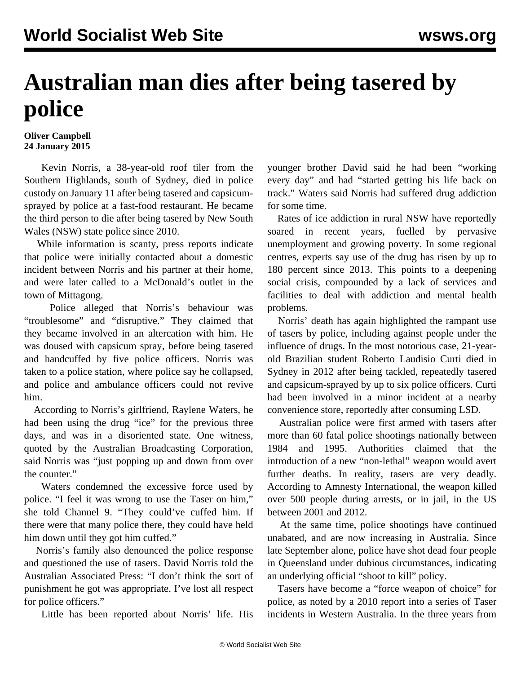## **Australian man dies after being tasered by police**

**Oliver Campbell 24 January 2015**

 Kevin Norris, a 38-year-old roof tiler from the Southern Highlands, south of Sydney, died in police custody on January 11 after being tasered and capsicumsprayed by police at a fast-food restaurant. He became the third person to die after being tasered by New South Wales (NSW) state police since 2010.

 While information is scanty, press reports indicate that police were initially contacted about a domestic incident between Norris and his partner at their home, and were later called to a McDonald's outlet in the town of Mittagong.

 Police alleged that Norris's behaviour was "troublesome" and "disruptive." They claimed that they became involved in an altercation with him. He was doused with capsicum spray, before being tasered and handcuffed by five police officers. Norris was taken to a police station, where police say he collapsed, and police and ambulance officers could not revive him.

 According to Norris's girlfriend, Raylene Waters, he had been using the drug "ice" for the previous three days, and was in a disoriented state. One witness, quoted by the Australian Broadcasting Corporation, said Norris was "just popping up and down from over the counter."

 Waters condemned the excessive force used by police. "I feel it was wrong to use the Taser on him," she told Channel 9. "They could've cuffed him. If there were that many police there, they could have held him down until they got him cuffed."

 Norris's family also denounced the police response and questioned the use of tasers. David Norris told the Australian Associated Press: "I don't think the sort of punishment he got was appropriate. I've lost all respect for police officers."

Little has been reported about Norris' life. His

younger brother David said he had been "working every day" and had "started getting his life back on track." Waters said Norris had suffered drug addiction for some time.

 Rates of ice addiction in rural NSW have reportedly soared in recent years, fuelled by pervasive unemployment and growing poverty. In some regional centres, experts say use of the drug has risen by up to 180 percent since 2013. This points to a deepening social crisis, compounded by a lack of services and facilities to deal with addiction and mental health problems.

 Norris' death has again highlighted the rampant use of tasers by police, including against people under the influence of drugs. In the most [notorious case,](/en/articles/2012/10/curt-o22.html) 21-yearold Brazilian student Roberto Laudisio Curti died in Sydney in 2012 after being tackled, repeatedly tasered and capsicum-sprayed by up to six police officers. Curti had been involved in a minor incident at a nearby convenience store, reportedly after consuming LSD.

 Australian police were first armed with tasers after more than 60 fatal police shootings nationally between 1984 and 1995. Authorities claimed that the introduction of a new "non-lethal" weapon would avert further deaths. In reality, tasers are very deadly. According to Amnesty International, the weapon killed over 500 people during arrests, or in jail, in the US between 2001 and 2012.

 At the same time, police shootings have continued unabated, and are now increasing in Australia. Since late September alone, police have shot dead [four people](/en/articles/2014/11/26/poli-n26.html) [in Queensland](/en/articles/2014/11/26/poli-n26.html) under dubious circumstances, indicating an underlying official "shoot to kill" policy.

 Tasers have become a "force weapon of choice" for police, as noted by a 2010 report into a series of Taser incidents in Western Australia. In the three years from